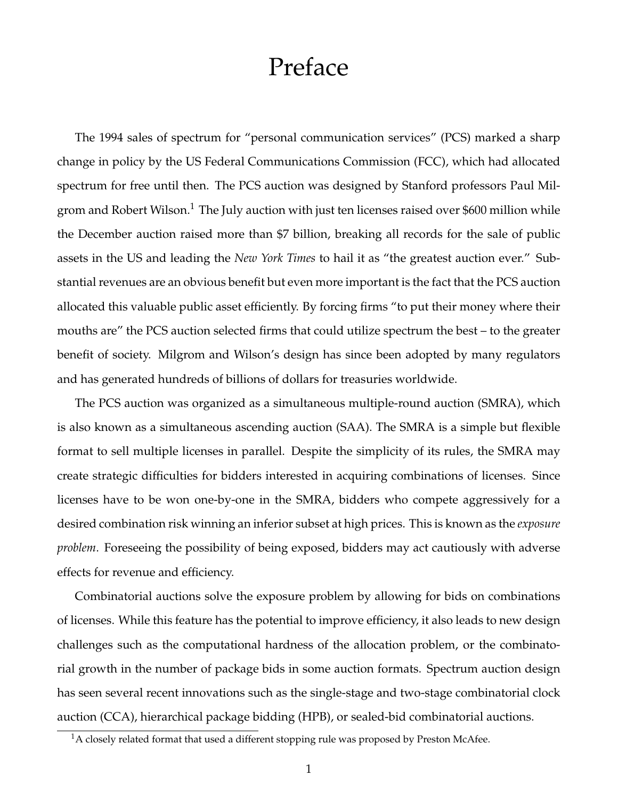# Preface

The 1994 sales of spectrum for "personal communication services" (PCS) marked a sharp change in policy by the US Federal Communications Commission (FCC), which had allocated spectrum for free until then. The PCS auction was designed by Stanford professors Paul Milgrom and Robert Wilson.<sup>1</sup> The July auction with just ten licenses raised over \$600 million while the December auction raised more than \$7 billion, breaking all records for the sale of public assets in the US and leading the *New York Times* to hail it as "the greatest auction ever." Substantial revenues are an obvious benefit but even more important is the fact that the PCS auction allocated this valuable public asset efficiently. By forcing firms "to put their money where their mouths are" the PCS auction selected firms that could utilize spectrum the best – to the greater benefit of society. Milgrom and Wilson's design has since been adopted by many regulators and has generated hundreds of billions of dollars for treasuries worldwide.

The PCS auction was organized as a simultaneous multiple-round auction (SMRA), which is also known as a simultaneous ascending auction (SAA). The SMRA is a simple but flexible format to sell multiple licenses in parallel. Despite the simplicity of its rules, the SMRA may create strategic difficulties for bidders interested in acquiring combinations of licenses. Since licenses have to be won one-by-one in the SMRA, bidders who compete aggressively for a desired combination risk winning an inferior subset at high prices. This is known as the *exposure problem*. Foreseeing the possibility of being exposed, bidders may act cautiously with adverse effects for revenue and efficiency.

Combinatorial auctions solve the exposure problem by allowing for bids on combinations of licenses. While this feature has the potential to improve efficiency, it also leads to new design challenges such as the computational hardness of the allocation problem, or the combinatorial growth in the number of package bids in some auction formats. Spectrum auction design has seen several recent innovations such as the single-stage and two-stage combinatorial clock auction (CCA), hierarchical package bidding (HPB), or sealed-bid combinatorial auctions.

 $1A$  closely related format that used a different stopping rule was proposed by Preston McAfee.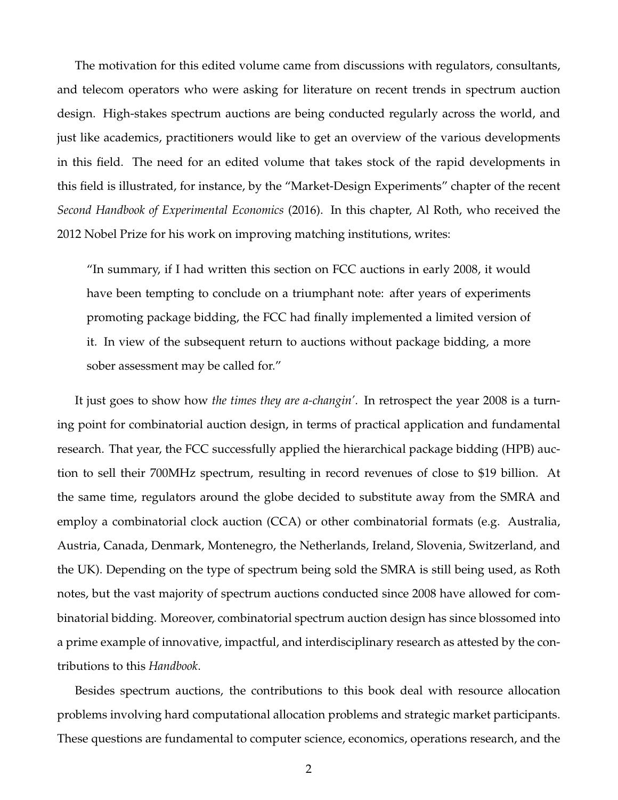The motivation for this edited volume came from discussions with regulators, consultants, and telecom operators who were asking for literature on recent trends in spectrum auction design. High-stakes spectrum auctions are being conducted regularly across the world, and just like academics, practitioners would like to get an overview of the various developments in this field. The need for an edited volume that takes stock of the rapid developments in this field is illustrated, for instance, by the "Market-Design Experiments" chapter of the recent *Second Handbook of Experimental Economics* (2016). In this chapter, Al Roth, who received the 2012 Nobel Prize for his work on improving matching institutions, writes:

"In summary, if I had written this section on FCC auctions in early 2008, it would have been tempting to conclude on a triumphant note: after years of experiments promoting package bidding, the FCC had finally implemented a limited version of it. In view of the subsequent return to auctions without package bidding, a more sober assessment may be called for."

It just goes to show how *the times they are a-changin'*. In retrospect the year 2008 is a turning point for combinatorial auction design, in terms of practical application and fundamental research. That year, the FCC successfully applied the hierarchical package bidding (HPB) auction to sell their 700MHz spectrum, resulting in record revenues of close to \$19 billion. At the same time, regulators around the globe decided to substitute away from the SMRA and employ a combinatorial clock auction (CCA) or other combinatorial formats (e.g. Australia, Austria, Canada, Denmark, Montenegro, the Netherlands, Ireland, Slovenia, Switzerland, and the UK). Depending on the type of spectrum being sold the SMRA is still being used, as Roth notes, but the vast majority of spectrum auctions conducted since 2008 have allowed for combinatorial bidding. Moreover, combinatorial spectrum auction design has since blossomed into a prime example of innovative, impactful, and interdisciplinary research as attested by the contributions to this *Handbook*.

Besides spectrum auctions, the contributions to this book deal with resource allocation problems involving hard computational allocation problems and strategic market participants. These questions are fundamental to computer science, economics, operations research, and the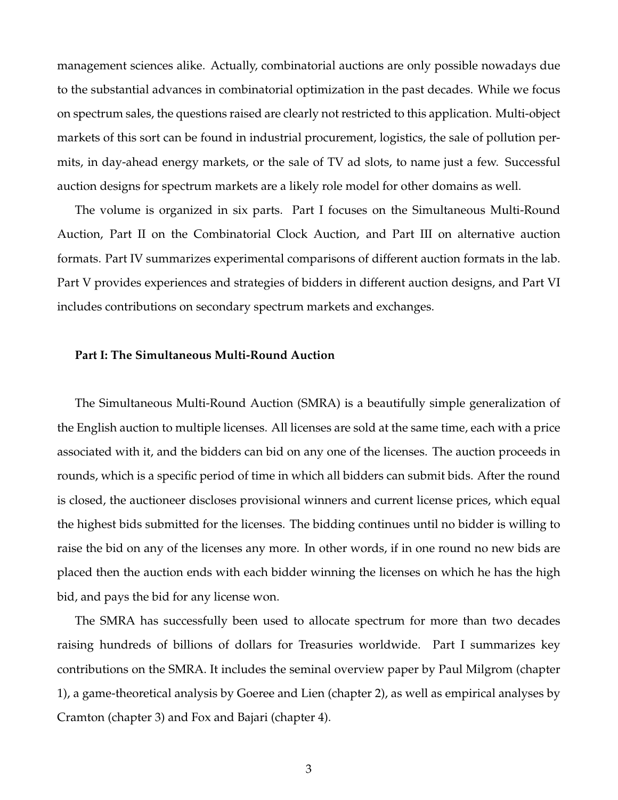management sciences alike. Actually, combinatorial auctions are only possible nowadays due to the substantial advances in combinatorial optimization in the past decades. While we focus on spectrum sales, the questions raised are clearly not restricted to this application. Multi-object markets of this sort can be found in industrial procurement, logistics, the sale of pollution permits, in day-ahead energy markets, or the sale of TV ad slots, to name just a few. Successful auction designs for spectrum markets are a likely role model for other domains as well.

The volume is organized in six parts. Part I focuses on the Simultaneous Multi-Round Auction, Part II on the Combinatorial Clock Auction, and Part III on alternative auction formats. Part IV summarizes experimental comparisons of different auction formats in the lab. Part V provides experiences and strategies of bidders in different auction designs, and Part VI includes contributions on secondary spectrum markets and exchanges.

# **Part I: The Simultaneous Multi-Round Auction**

The Simultaneous Multi-Round Auction (SMRA) is a beautifully simple generalization of the English auction to multiple licenses. All licenses are sold at the same time, each with a price associated with it, and the bidders can bid on any one of the licenses. The auction proceeds in rounds, which is a specific period of time in which all bidders can submit bids. After the round is closed, the auctioneer discloses provisional winners and current license prices, which equal the highest bids submitted for the licenses. The bidding continues until no bidder is willing to raise the bid on any of the licenses any more. In other words, if in one round no new bids are placed then the auction ends with each bidder winning the licenses on which he has the high bid, and pays the bid for any license won.

The SMRA has successfully been used to allocate spectrum for more than two decades raising hundreds of billions of dollars for Treasuries worldwide. Part I summarizes key contributions on the SMRA. It includes the seminal overview paper by Paul Milgrom (chapter 1), a game-theoretical analysis by Goeree and Lien (chapter 2), as well as empirical analyses by Cramton (chapter 3) and Fox and Bajari (chapter 4).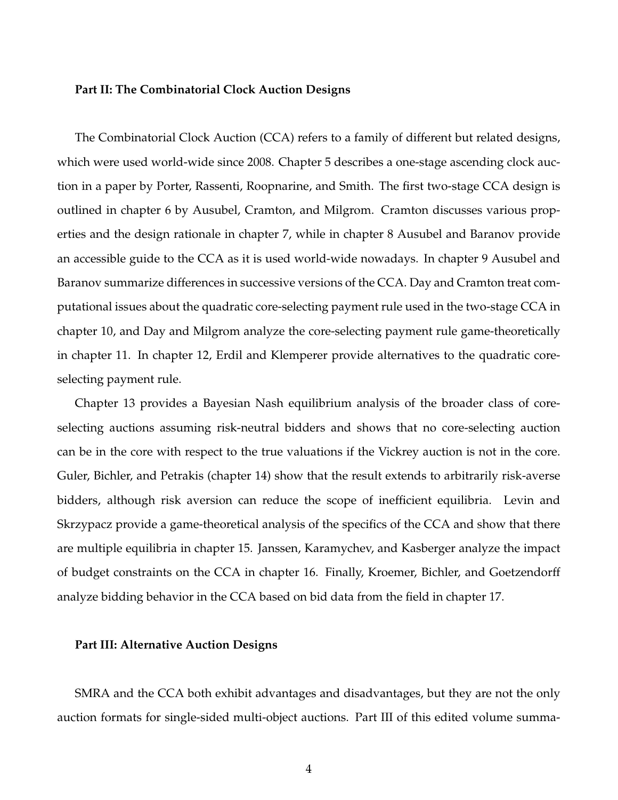# **Part II: The Combinatorial Clock Auction Designs**

The Combinatorial Clock Auction (CCA) refers to a family of different but related designs, which were used world-wide since 2008. Chapter 5 describes a one-stage ascending clock auction in a paper by Porter, Rassenti, Roopnarine, and Smith. The first two-stage CCA design is outlined in chapter 6 by Ausubel, Cramton, and Milgrom. Cramton discusses various properties and the design rationale in chapter 7, while in chapter 8 Ausubel and Baranov provide an accessible guide to the CCA as it is used world-wide nowadays. In chapter 9 Ausubel and Baranov summarize differences in successive versions of the CCA. Day and Cramton treat computational issues about the quadratic core-selecting payment rule used in the two-stage CCA in chapter 10, and Day and Milgrom analyze the core-selecting payment rule game-theoretically in chapter 11. In chapter 12, Erdil and Klemperer provide alternatives to the quadratic coreselecting payment rule.

Chapter 13 provides a Bayesian Nash equilibrium analysis of the broader class of coreselecting auctions assuming risk-neutral bidders and shows that no core-selecting auction can be in the core with respect to the true valuations if the Vickrey auction is not in the core. Guler, Bichler, and Petrakis (chapter 14) show that the result extends to arbitrarily risk-averse bidders, although risk aversion can reduce the scope of inefficient equilibria. Levin and Skrzypacz provide a game-theoretical analysis of the specifics of the CCA and show that there are multiple equilibria in chapter 15. Janssen, Karamychev, and Kasberger analyze the impact of budget constraints on the CCA in chapter 16. Finally, Kroemer, Bichler, and Goetzendorff analyze bidding behavior in the CCA based on bid data from the field in chapter 17.

## **Part III: Alternative Auction Designs**

SMRA and the CCA both exhibit advantages and disadvantages, but they are not the only auction formats for single-sided multi-object auctions. Part III of this edited volume summa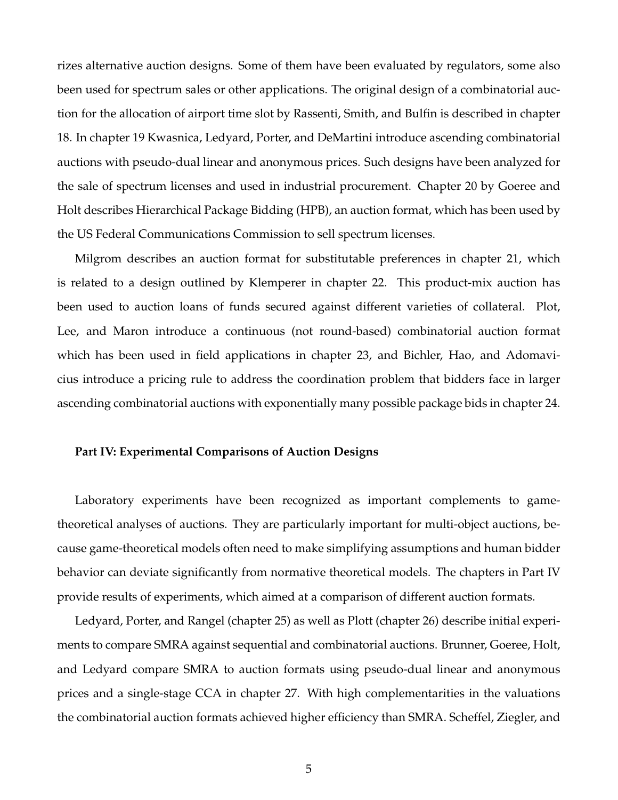rizes alternative auction designs. Some of them have been evaluated by regulators, some also been used for spectrum sales or other applications. The original design of a combinatorial auction for the allocation of airport time slot by Rassenti, Smith, and Bulfin is described in chapter 18. In chapter 19 Kwasnica, Ledyard, Porter, and DeMartini introduce ascending combinatorial auctions with pseudo-dual linear and anonymous prices. Such designs have been analyzed for the sale of spectrum licenses and used in industrial procurement. Chapter 20 by Goeree and Holt describes Hierarchical Package Bidding (HPB), an auction format, which has been used by the US Federal Communications Commission to sell spectrum licenses.

Milgrom describes an auction format for substitutable preferences in chapter 21, which is related to a design outlined by Klemperer in chapter 22. This product-mix auction has been used to auction loans of funds secured against different varieties of collateral. Plot, Lee, and Maron introduce a continuous (not round-based) combinatorial auction format which has been used in field applications in chapter 23, and Bichler, Hao, and Adomavicius introduce a pricing rule to address the coordination problem that bidders face in larger ascending combinatorial auctions with exponentially many possible package bids in chapter 24.

#### **Part IV: Experimental Comparisons of Auction Designs**

Laboratory experiments have been recognized as important complements to gametheoretical analyses of auctions. They are particularly important for multi-object auctions, because game-theoretical models often need to make simplifying assumptions and human bidder behavior can deviate significantly from normative theoretical models. The chapters in Part IV provide results of experiments, which aimed at a comparison of different auction formats.

Ledyard, Porter, and Rangel (chapter 25) as well as Plott (chapter 26) describe initial experiments to compare SMRA against sequential and combinatorial auctions. Brunner, Goeree, Holt, and Ledyard compare SMRA to auction formats using pseudo-dual linear and anonymous prices and a single-stage CCA in chapter 27. With high complementarities in the valuations the combinatorial auction formats achieved higher efficiency than SMRA. Scheffel, Ziegler, and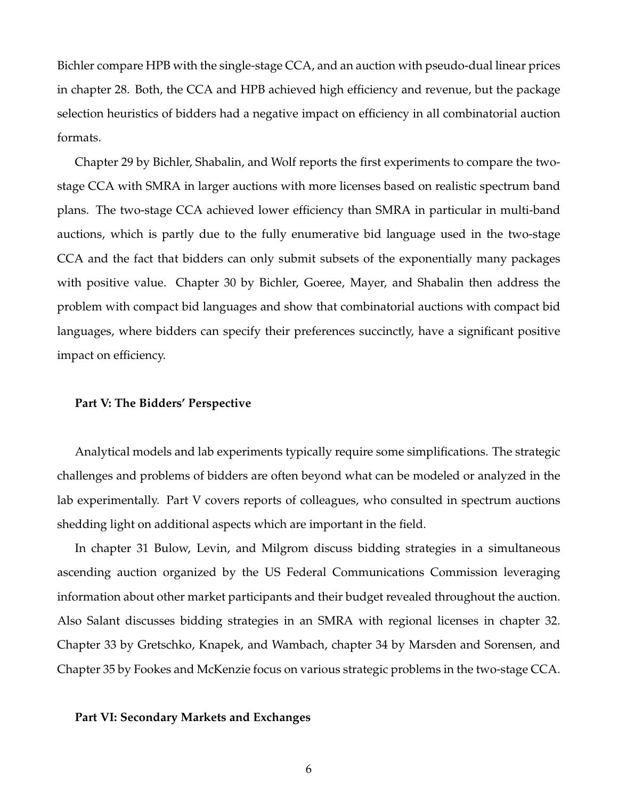Bichler compare HPB with the single-stage CCA, and an auction with pseudo-dual linear prices in chapter 28. Both, the CCA and HPB achieved high efficiency and revenue, but the package selection heuristics of bidders had a negative impact on efficiency in all combinatorial auction formats.

Chapter 29 by Bichler, Shabalin, and Wolf reports the first experiments to compare the twostage CCA with SMRA in larger auctions with more licenses based on realistic spectrum band plans. The two-stage CCA achieved lower efficiency than SMRA in particular in multi-band auctions, which is partly due to the fully enumerative bid language used in the two-stage CCA and the fact that bidders can only submit subsets of the exponentially many packages with positive value. Chapter 30 by Bichler, Goeree, Mayer, and Shabalin then address the problem with compact bid languages and show that combinatorial auctions with compact bid languages, where bidders can specify their preferences succinctly, have a significant positive impact on efficiency.

#### **Part V: The Bidders' Perspective**

Analytical models and lab experiments typically require some simplifications. The strategic challenges and problems of bidders are often beyond what can be modeled or analyzed in the lab experimentally. Part V covers reports of colleagues, who consulted in spectrum auctions shedding light on additional aspects which are important in the field.

In chapter 31 Bulow, Levin, and Milgrom discuss bidding strategies in a simultaneous ascending auction organized by the US Federal Communications Commission leveraging information about other market participants and their budget revealed throughout the auction. Also Salant discusses bidding strategies in an SMRA with regional licenses in chapter 32. Chapter 33 by Gretschko, Knapek, and Wambach, chapter 34 by Marsden and Sorensen, and Chapter 35 by Fookes and McKenzie focus on various strategic problems in the two-stage CCA.

### **Part VI: Secondary Markets and Exchanges**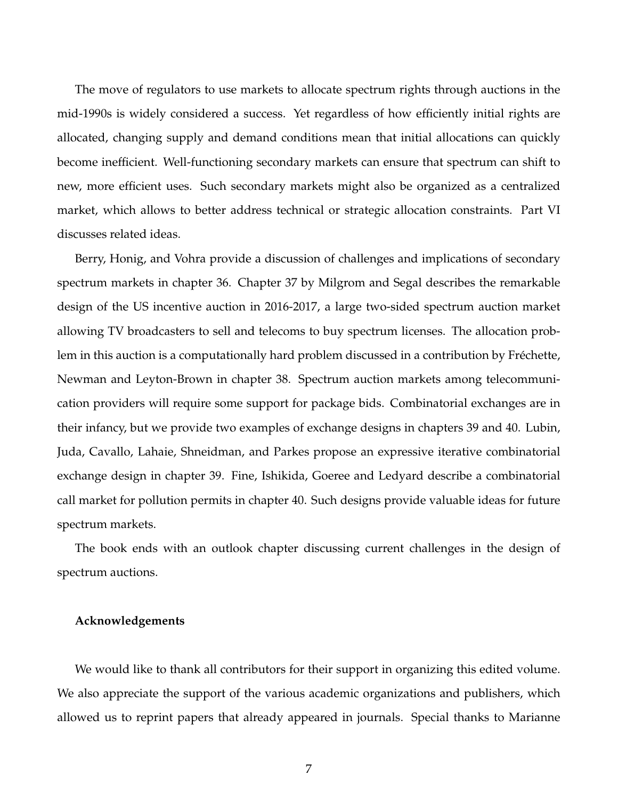The move of regulators to use markets to allocate spectrum rights through auctions in the mid-1990s is widely considered a success. Yet regardless of how efficiently initial rights are allocated, changing supply and demand conditions mean that initial allocations can quickly become inefficient. Well-functioning secondary markets can ensure that spectrum can shift to new, more efficient uses. Such secondary markets might also be organized as a centralized market, which allows to better address technical or strategic allocation constraints. Part VI discusses related ideas.

Berry, Honig, and Vohra provide a discussion of challenges and implications of secondary spectrum markets in chapter 36. Chapter 37 by Milgrom and Segal describes the remarkable design of the US incentive auction in 2016-2017, a large two-sided spectrum auction market allowing TV broadcasters to sell and telecoms to buy spectrum licenses. The allocation problem in this auction is a computationally hard problem discussed in a contribution by Fréchette, Newman and Leyton-Brown in chapter 38. Spectrum auction markets among telecommunication providers will require some support for package bids. Combinatorial exchanges are in their infancy, but we provide two examples of exchange designs in chapters 39 and 40. Lubin, Juda, Cavallo, Lahaie, Shneidman, and Parkes propose an expressive iterative combinatorial exchange design in chapter 39. Fine, Ishikida, Goeree and Ledyard describe a combinatorial call market for pollution permits in chapter 40. Such designs provide valuable ideas for future spectrum markets.

The book ends with an outlook chapter discussing current challenges in the design of spectrum auctions.

## **Acknowledgements**

We would like to thank all contributors for their support in organizing this edited volume. We also appreciate the support of the various academic organizations and publishers, which allowed us to reprint papers that already appeared in journals. Special thanks to Marianne